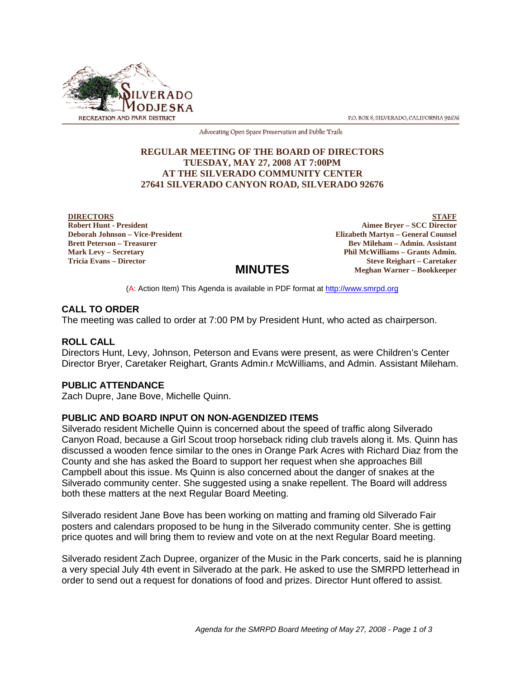

P.O. BOX 8, SILVERADO, CALIFORNIA 92676

Advocating Open Space Preservation and Public Trails

### **REGULAR MEETING OF THE BOARD OF DIRECTORS TUESDAY, MAY 27, 2008 AT 7:00PM AT THE SILVERADO COMMUNITY CENTER 27641 SILVERADO CANYON ROAD, SILVERADO 92676**

**DIRECTORS Robert Hunt - President Deborah Johnson – Vice-President Brett Peterson – Treasurer Mark Levy – Secretary Tricia Evans – Director**

**STAFF Aimee Bryer – SCC Director Elizabeth Martyn – General Counsel Bev Mileham – Admin. Assistant Phil McWilliams – Grants Admin. Steve Reighart – Caretaker Meghan Warner – Bookkeeper**

(A: Action Item) This Agenda is available in PDF format at http://www.smrpd.org

**MINUTES**

# **CALL TO ORDER**

The meeting was called to order at 7:00 PM by President Hunt, who acted as chairperson.

#### **ROLL CALL**

Directors Hunt, Levy, Johnson, Peterson and Evans were present, as were Children's Center Director Bryer, Caretaker Reighart, Grants Admin.r McWilliams, and Admin. Assistant Mileham.

#### **PUBLIC ATTENDANCE**

Zach Dupre, Jane Bove, Michelle Quinn.

#### **PUBLIC AND BOARD INPUT ON NON-AGENDIZED ITEMS**

Silverado resident Michelle Quinn is concerned about the speed of traffic along Silverado Canyon Road, because a Girl Scout troop horseback riding club travels along it. Ms. Quinn has discussed a wooden fence similar to the ones in Orange Park Acres with Richard Diaz from the County and she has asked the Board to support her request when she approaches Bill Campbell about this issue. Ms Quinn is also concerned about the danger of snakes at the Silverado community center. She suggested using a snake repellent. The Board will address both these matters at the next Regular Board Meeting.

Silverado resident Jane Bove has been working on matting and framing old Silverado Fair posters and calendars proposed to be hung in the Silverado community center. She is getting price quotes and will bring them to review and vote on at the next Regular Board meeting.

Silverado resident Zach Dupree, organizer of the Music in the Park concerts, said he is planning a very special July 4th event in Silverado at the park. He asked to use the SMRPD letterhead in order to send out a request for donations of food and prizes. Director Hunt offered to assist.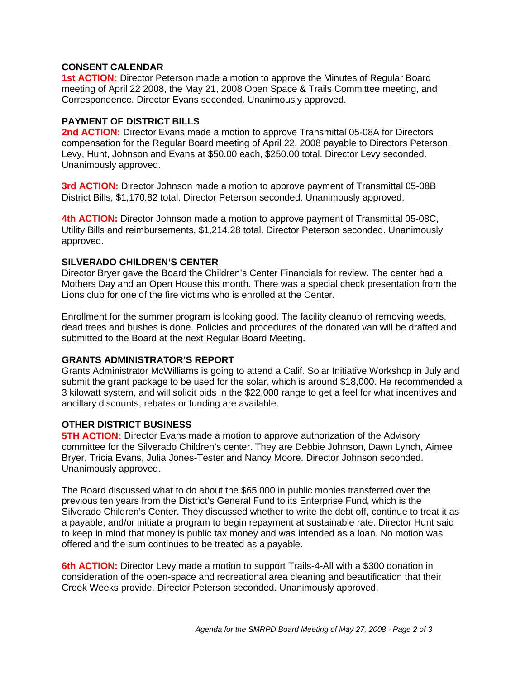### **CONSENT CALENDAR**

**1st ACTION:** Director Peterson made a motion to approve the Minutes of Regular Board meeting of April 22 2008, the May 21, 2008 Open Space & Trails Committee meeting, and Correspondence. Director Evans seconded. Unanimously approved.

# **PAYMENT OF DISTRICT BILLS**

**2nd ACTION:** Director Evans made a motion to approve Transmittal 05-08A for Directors compensation for the Regular Board meeting of April 22, 2008 payable to Directors Peterson, Levy, Hunt, Johnson and Evans at \$50.00 each, \$250.00 total. Director Levy seconded. Unanimously approved.

**3rd ACTION:** Director Johnson made a motion to approve payment of Transmittal 05-08B District Bills, \$1,170.82 total. Director Peterson seconded. Unanimously approved.

**4th ACTION:** Director Johnson made a motion to approve payment of Transmittal 05-08C, Utility Bills and reimbursements, \$1,214.28 total. Director Peterson seconded. Unanimously approved.

# **SILVERADO CHILDREN'S CENTER**

Director Bryer gave the Board the Children's Center Financials for review. The center had a Mothers Day and an Open House this month. There was a special check presentation from the Lions club for one of the fire victims who is enrolled at the Center.

Enrollment for the summer program is looking good. The facility cleanup of removing weeds, dead trees and bushes is done. Policies and procedures of the donated van will be drafted and submitted to the Board at the next Regular Board Meeting.

# **GRANTS ADMINISTRATOR'S REPORT**

Grants Administrator McWilliams is going to attend a Calif. Solar Initiative Workshop in July and submit the grant package to be used for the solar, which is around \$18,000. He recommended a 3 kilowatt system, and will solicit bids in the \$22,000 range to get a feel for what incentives and ancillary discounts, rebates or funding are available.

# **OTHER DISTRICT BUSINESS**

**5TH ACTION:** Director Evans made a motion to approve authorization of the Advisory committee for the Silverado Children's center. They are Debbie Johnson, Dawn Lynch, Aimee Bryer, Tricia Evans, Julia Jones-Tester and Nancy Moore. Director Johnson seconded. Unanimously approved.

The Board discussed what to do about the \$65,000 in public monies transferred over the previous ten years from the District's General Fund to its Enterprise Fund, which is the Silverado Children's Center. They discussed whether to write the debt off, continue to treat it as a payable, and/or initiate a program to begin repayment at sustainable rate. Director Hunt said to keep in mind that money is public tax money and was intended as a loan. No motion was offered and the sum continues to be treated as a payable.

**6th ACTION:** Director Levy made a motion to support Trails-4-All with a \$300 donation in consideration of the open-space and recreational area cleaning and beautification that their Creek Weeks provide. Director Peterson seconded. Unanimously approved.